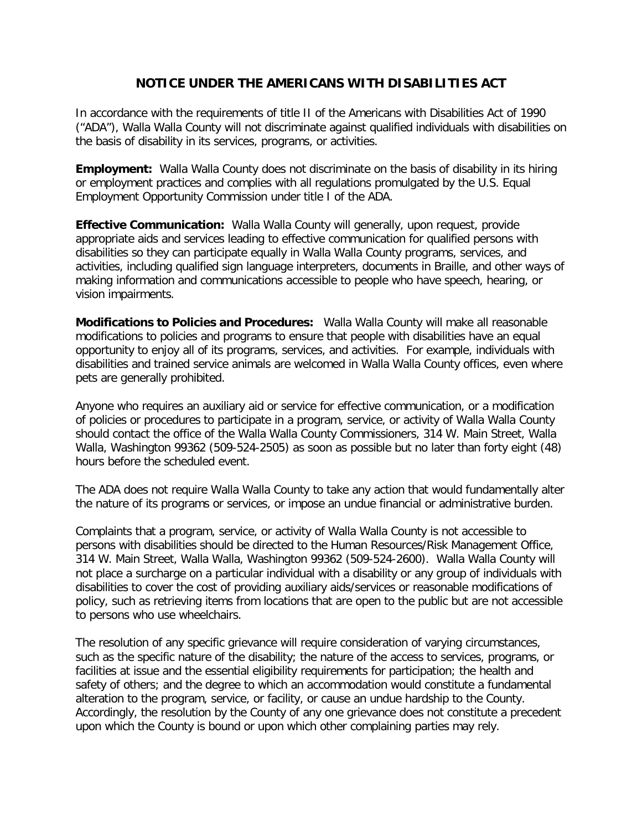## **NOTICE UNDER THE AMERICANS WITH DISABILITIES ACT**

In accordance with the requirements of title II of the Americans with Disabilities Act of 1990 ("ADA"), Walla Walla County will not discriminate against qualified individuals with disabilities on the basis of disability in its services, programs, or activities.

**Employment:** Walla Walla County does not discriminate on the basis of disability in its hiring or employment practices and complies with all regulations promulgated by the U.S. Equal Employment Opportunity Commission under title I of the ADA.

**Effective Communication:** Walla Walla County will generally, upon request, provide appropriate aids and services leading to effective communication for qualified persons with disabilities so they can participate equally in Walla Walla County programs, services, and activities, including qualified sign language interpreters, documents in Braille, and other ways of making information and communications accessible to people who have speech, hearing, or vision impairments.

**Modifications to Policies and Procedures:** Walla Walla County will make all reasonable modifications to policies and programs to ensure that people with disabilities have an equal opportunity to enjoy all of its programs, services, and activities. For example, individuals with disabilities and trained service animals are welcomed in Walla Walla County offices, even where pets are generally prohibited.

Anyone who requires an auxiliary aid or service for effective communication, or a modification of policies or procedures to participate in a program, service, or activity of Walla Walla County should contact the office of the Walla Walla County Commissioners, 314 W. Main Street, Walla Walla, Washington 99362 (509-524-2505) as soon as possible but no later than forty eight (48) hours before the scheduled event.

The ADA does not require Walla Walla County to take any action that would fundamentally alter the nature of its programs or services, or impose an undue financial or administrative burden.

Complaints that a program, service, or activity of Walla Walla County is not accessible to persons with disabilities should be directed to the Human Resources/Risk Management Office, 314 W. Main Street, Walla Walla, Washington 99362 (509-524-2600). Walla Walla County will not place a surcharge on a particular individual with a disability or any group of individuals with disabilities to cover the cost of providing auxiliary aids/services or reasonable modifications of policy, such as retrieving items from locations that are open to the public but are not accessible to persons who use wheelchairs.

The resolution of any specific grievance will require consideration of varying circumstances, such as the specific nature of the disability; the nature of the access to services, programs, or facilities at issue and the essential eligibility requirements for participation; the health and safety of others; and the degree to which an accommodation would constitute a fundamental alteration to the program, service, or facility, or cause an undue hardship to the County. Accordingly, the resolution by the County of any one grievance does not constitute a precedent upon which the County is bound or upon which other complaining parties may rely.